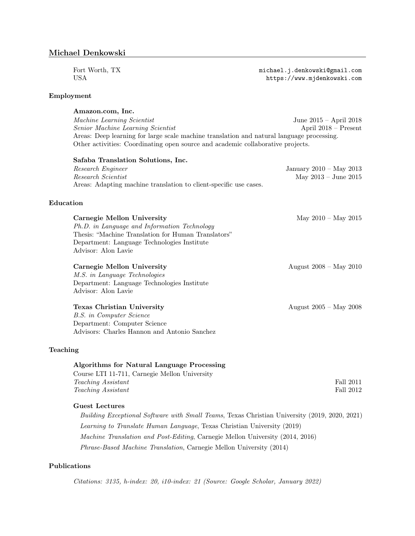Fort Worth, TX <michael.j.denkowski@gmail.com><br>USA https://www.mjdenkowski.com

### Employment

Amazon.com, Inc. Machine Learning Scientist June 2015 – April 2018 Senior Machine Learning Scientist April 2018 – Present Areas: Deep learning for large scale machine translation and natural language processing. Other activities: Coordinating open source and academic collaborative projects.

<https://www.mjdenkowski.com>

| Safaba Translation Solutions, Inc.                                |                          |
|-------------------------------------------------------------------|--------------------------|
| Research Engineer                                                 | January 2010 – May 2013  |
| Research Scientist                                                | May $2013 -$ June $2015$ |
| Areas: Adapting machine translation to client-specific use cases. |                          |
| Education                                                         |                          |

| Carnegie Mellon University                          | May $2010 - \text{May } 2015$    |
|-----------------------------------------------------|----------------------------------|
| Ph.D. in Language and Information Technology        |                                  |
| Thesis: "Machine Translation for Human Translators" |                                  |
| Department: Language Technologies Institute         |                                  |
| Advisor: Alon Lavie                                 |                                  |
| Carnegie Mellon University                          | August $2008 - \text{May } 2010$ |
| <i>M.S. in Language Technologies</i>                |                                  |
| Department: Language Technologies Institute         |                                  |
| Advisor: Alon Lavie                                 |                                  |
| Texas Christian University                          | August $2005 - May 2008$         |
| B.S. in Computer Science                            |                                  |
| Department: Computer Science                        |                                  |
| Advisors: Charles Hannon and Antonio Sanchez        |                                  |
| Teaching                                            |                                  |

| Algorithms for Natural Language Processing    |           |
|-----------------------------------------------|-----------|
| Course LTI 11-711, Carnegie Mellon University |           |
| <i>Teaching Assistant</i>                     | Fall 2011 |
| <i>Teaching Assistant</i>                     | Fall 2012 |

# Guest Lectures

Building Exceptional Software with Small Teams, Texas Christian University (2019, 2020, 2021) Learning to Translate Human Language, Texas Christian University (2019) Machine Translation and Post-Editing, Carnegie Mellon University (2014, 2016) Phrase-Based Machine Translation, Carnegie Mellon University (2014)

# Publications

Citations: 3135, h-index: 20, i10-index: 21 (Source: Google Scholar, January 2022)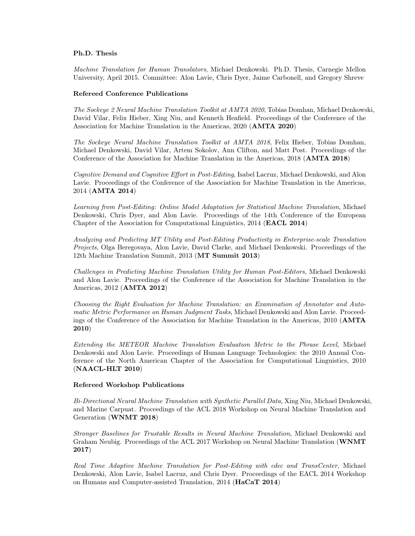## Ph.D. Thesis

Machine Translation for Human Translators, Michael Denkowski. Ph.D. Thesis, Carnegie Mellon University, April 2015. Committee: Alon Lavie, Chris Dyer, Jaime Carbonell, and Gregory Shreve

#### Refereed Conference Publications

The Sockeye 2 Neural Machine Translation Toolkit at AMTA 2020, Tobias Domhan, Michael Denkowski, David Vilar, Felix Hieber, Xing Niu, and Kenneth Heafield. Proceedings of the Conference of the Association for Machine Translation in the Americas, 2020 (AMTA 2020)

The Sockeye Neural Machine Translation Toolkit at AMTA 2018, Felix Hieber, Tobias Domhan, Michael Denkowski, David Vilar, Artem Sokolov, Ann Clifton, and Matt Post. Proceedings of the Conference of the Association for Machine Translation in the Americas, 2018 (AMTA 2018)

Cognitive Demand and Cognitive Effort in Post-Editing, Isabel Lacruz, Michael Denkowski, and Alon Lavie. Proceedings of the Conference of the Association for Machine Translation in the Americas, 2014 (AMTA 2014)

Learning from Post-Editing: Online Model Adaptation for Statistical Machine Translation, Michael Denkowski, Chris Dyer, and Alon Lavie. Proceedings of the 14th Conference of the European Chapter of the Association for Computational Linguistics, 2014 (EACL 2014)

Analyzing and Predicting MT Utility and Post-Editing Productivity in Enterprise-scale Translation Projects, Olga Beregovaya, Alon Lavie, David Clarke, and Michael Denkowski. Proceedings of the 12th Machine Translation Summit, 2013 (MT Summit 2013)

Challenges in Predicting Machine Translation Utility for Human Post-Editors, Michael Denkowski and Alon Lavie. Proceedings of the Conference of the Association for Machine Translation in the Americas, 2012 (AMTA 2012)

Choosing the Right Evaluation for Machine Translation: an Examination of Annotator and Automatic Metric Performance on Human Judgment Tasks, Michael Denkowski and Alon Lavie. Proceedings of the Conference of the Association for Machine Translation in the Americas, 2010 (AMTA 2010)

Extending the METEOR Machine Translation Evaluation Metric to the Phrase Level, Michael Denkowski and Alon Lavie. Proceedings of Human Language Technologies: the 2010 Annual Conference of the North American Chapter of the Association for Computational Linguistics, 2010 (NAACL-HLT 2010)

#### Refereed Workshop Publications

Bi-Directional Neural Machine Translation with Synthetic Parallel Data, Xing Niu, Michael Denkowski, and Marine Carpuat. Proceedings of the ACL 2018 Workshop on Neural Machine Translation and Generation (WNMT 2018)

Stronger Baselines for Trustable Results in Neural Machine Translation, Michael Denkowski and Graham Neubig. Proceedings of the ACL 2017 Workshop on Neural Machine Translation (WNMT 2017)

Real Time Adaptive Machine Translation for Post-Editing with cdec and TransCenter, Michael Denkowski, Alon Lavie, Isabel Lacruz, and Chris Dyer. Proceedings of the EACL 2014 Workshop on Humans and Computer-assisted Translation, 2014 (HaCaT 2014)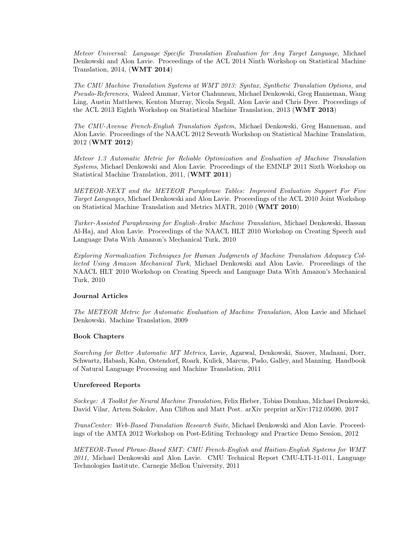Meteor Universal: Language Specific Translation Evaluation for Any Target Language, Michael Denkowski and Alon Lavie. Proceedings of the ACL 2014 Ninth Workshop on Statistical Machine Translation, 2014, (WMT 2014)

The CMU Machine Translation Systems at WMT 2013: Syntax, Synthetic Translation Options, and Pseudo-References, Waleed Ammar, Victor Chahuneau, Michael Denkowski, Greg Hanneman, Wang Ling, Austin Matthews, Kenton Murray, Nicola Segall, Alon Lavie and Chris Dyer. Proceedings of the ACL 2013 Eighth Workshop on Statistical Machine Translation, 2013 (WMT 2013)

The CMU-Avenue French-English Translation System, Michael Denkowski, Greg Hanneman, and Alon Lavie. Proceedings of the NAACL 2012 Seventh Workshop on Statistical Machine Translation, 2012 (WMT 2012)

Meteor 1.3 Automatic Metric for Reliable Optimization and Evaluation of Machine Translation Systems, Michael Denkowski and Alon Lavie. Proceedings of the EMNLP 2011 Sixth Workshop on Statistical Machine Translation, 2011, (WMT 2011)

METEOR-NEXT and the METEOR Paraphrase Tables: Improved Evaluation Support For Five Target Languages, Michael Denkowski and Alon Lavie. Proceedings of the ACL 2010 Joint Workshop on Statistical Machine Translation and Metrics MATR, 2010 (WMT 2010)

Turker-Assisted Paraphrasing for English-Arabic Machine Translation, Michael Denkowski, Hassan Al-Haj, and Alon Lavie. Proceedings of the NAACL HLT 2010 Workshop on Creating Speech and Language Data With Amazon's Mechanical Turk, 2010

Exploring Normalization Techniques for Human Judgments of Machine Translation Adequacy Collected Using Amazon Mechanical Turk, Michael Denkowski and Alon Lavie. Proceedings of the NAACL HLT 2010 Workshop on Creating Speech and Language Data With Amazon's Mechanical Turk, 2010

## Journal Articles

The METEOR Metric for Automatic Evaluation of Machine Translation, Alon Lavie and Michael Denkowski. Machine Translation, 2009

## Book Chapters

Searching for Better Automatic MT Metrics, Lavie, Agarwal, Denkowski, Snover, Madnani, Dorr, Schwartz, Habash, Kahn, Ostendorf, Roark, Kulick, Marcus, Pado, Galley, and Manning. Handbook of Natural Language Processing and Machine Translation, 2011

## Unrefereed Reports

Sockeye: A Toolkit for Neural Machine Translation, Felix Hieber, Tobias Domhan, Michael Denkowski, David Vilar, Artem Sokolov, Ann Clifton and Matt Post. arXiv preprint arXiv:1712.05690, 2017

TransCenter: Web-Based Translation Research Suite, Michael Denkowski and Alon Lavie. Proceedings of the AMTA 2012 Workshop on Post-Editing Technology and Practice Demo Session, 2012

METEOR-Tuned Phrase-Based SMT: CMU French-English and Haitian-English Systems for WMT 2011, Michael Denkowski and Alon Lavie. CMU Technical Report CMU-LTI-11-011, Language Technologies Institute, Carnegie Mellon University, 2011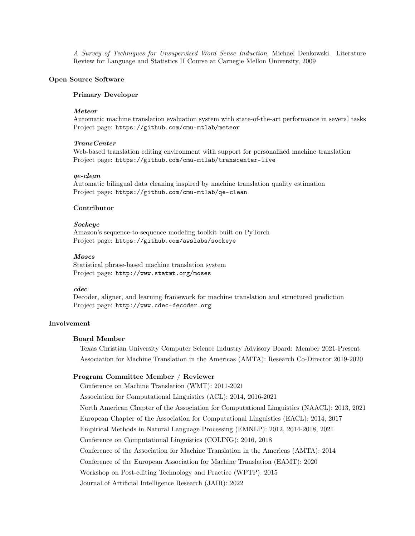A Survey of Techniques for Unsupervised Word Sense Induction, Michael Denkowski. Literature Review for Language and Statistics II Course at Carnegie Mellon University, 2009

## Open Source Software

#### Primary Developer

## Meteor

Automatic machine translation evaluation system with state-of-the-art performance in several tasks Project page: <https://github.com/cmu-mtlab/meteor>

#### TransCenter

Web-based translation editing environment with support for personalized machine translation Project page: <https://github.com/cmu-mtlab/transcenter-live>

### qe-clean

Automatic bilingual data cleaning inspired by machine translation quality estimation Project page: <https://github.com/cmu-mtlab/qe-clean>

# Contributor

### Sockeye

Amazon's sequence-to-sequence modeling toolkit built on PyTorch Project page: <https://github.com/awslabs/sockeye>

## Moses

Statistical phrase-based machine translation system Project page: <http://www.statmt.org/moses>

### cdec

Decoder, aligner, and learning framework for machine translation and structured prediction Project page: <http://www.cdec-decoder.org>

# Involvement

#### Board Member

Texas Christian University Computer Science Industry Advisory Board: Member 2021-Present Association for Machine Translation in the Americas (AMTA): Research Co-Director 2019-2020

#### Program Committee Member / Reviewer

Conference on Machine Translation (WMT): 2011-2021 Association for Computational Linguistics (ACL): 2014, 2016-2021 North American Chapter of the Association for Computational Linguistics (NAACL): 2013, 2021 European Chapter of the Association for Computational Linguistics (EACL): 2014, 2017 Empirical Methods in Natural Language Processing (EMNLP): 2012, 2014-2018, 2021 Conference on Computational Linguistics (COLING): 2016, 2018 Conference of the Association for Machine Translation in the Americas (AMTA): 2014 Conference of the European Association for Machine Translation (EAMT): 2020 Workshop on Post-editing Technology and Practice (WPTP): 2015 Journal of Artificial Intelligence Research (JAIR): 2022